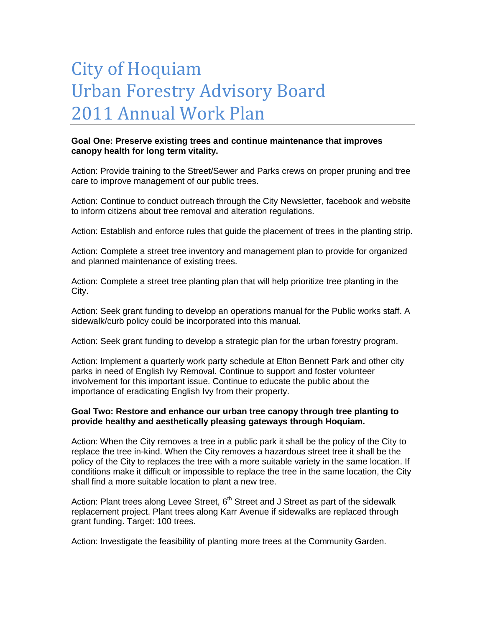## City of Hoquiam Urban Forestry Advisory Board 2011 Annual Work Plan

## **Goal One: Preserve existing trees and continue maintenance that improves canopy health for long term vitality.**

Action: Provide training to the Street/Sewer and Parks crews on proper pruning and tree care to improve management of our public trees.

Action: Continue to conduct outreach through the City Newsletter, facebook and website to inform citizens about tree removal and alteration regulations.

Action: Establish and enforce rules that guide the placement of trees in the planting strip.

Action: Complete a street tree inventory and management plan to provide for organized and planned maintenance of existing trees.

Action: Complete a street tree planting plan that will help prioritize tree planting in the City.

Action: Seek grant funding to develop an operations manual for the Public works staff. A sidewalk/curb policy could be incorporated into this manual.

Action: Seek grant funding to develop a strategic plan for the urban forestry program.

Action: Implement a quarterly work party schedule at Elton Bennett Park and other city parks in need of English Ivy Removal. Continue to support and foster volunteer involvement for this important issue. Continue to educate the public about the importance of eradicating English Ivy from their property.

## **Goal Two: Restore and enhance our urban tree canopy through tree planting to provide healthy and aesthetically pleasing gateways through Hoquiam.**

Action: When the City removes a tree in a public park it shall be the policy of the City to replace the tree in-kind. When the City removes a hazardous street tree it shall be the policy of the City to replaces the tree with a more suitable variety in the same location. If conditions make it difficult or impossible to replace the tree in the same location, the City shall find a more suitable location to plant a new tree.

Action: Plant trees along Levee Street,  $6<sup>th</sup>$  Street and J Street as part of the sidewalk replacement project. Plant trees along Karr Avenue if sidewalks are replaced through grant funding. Target: 100 trees.

Action: Investigate the feasibility of planting more trees at the Community Garden.